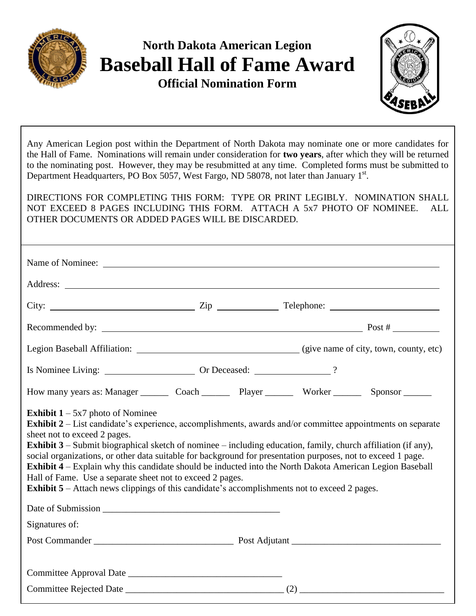

## **North Dakota American Legion Baseball Hall of Fame Award**

**Official Nomination Form**



Any American Legion post within the Department of North Dakota may nominate one or more candidates for the Hall of Fame. Nominations will remain under consideration for **two years**, after which they will be returned to the nominating post. However, they may be resubmitted at any time. Completed forms must be submitted to Department Headquarters, PO Box 5057, West Fargo, ND 58078, not later than January 1st.

DIRECTIONS FOR COMPLETING THIS FORM: TYPE OR PRINT LEGIBLY. NOMINATION SHALL NOT EXCEED 8 PAGES INCLUDING THIS FORM. ATTACH A 5x7 PHOTO OF NOMINEE. ALL OTHER DOCUMENTS OR ADDED PAGES WILL BE DISCARDED.

| City: $\frac{2}{\pi}$ Zip $\frac{2}{\pi}$ Telephone: $\frac{2}{\pi}$ Telephone: $\frac{2}{\pi}$                                                                                                                                                                                                                                                                                                                                                                                                                                                                                                                                                                                                               |  |  |  |  |  |
|---------------------------------------------------------------------------------------------------------------------------------------------------------------------------------------------------------------------------------------------------------------------------------------------------------------------------------------------------------------------------------------------------------------------------------------------------------------------------------------------------------------------------------------------------------------------------------------------------------------------------------------------------------------------------------------------------------------|--|--|--|--|--|
|                                                                                                                                                                                                                                                                                                                                                                                                                                                                                                                                                                                                                                                                                                               |  |  |  |  |  |
|                                                                                                                                                                                                                                                                                                                                                                                                                                                                                                                                                                                                                                                                                                               |  |  |  |  |  |
|                                                                                                                                                                                                                                                                                                                                                                                                                                                                                                                                                                                                                                                                                                               |  |  |  |  |  |
| How many years as: Manager ___________ Coach ______________ Player ______________ Worker ___________ Sponsor ________                                                                                                                                                                                                                                                                                                                                                                                                                                                                                                                                                                                         |  |  |  |  |  |
| <b>Exhibit 1</b> – 5x7 photo of Nominee<br>Exhibit 2 – List candidate's experience, accomplishments, awards and/or committee appointments on separate<br>sheet not to exceed 2 pages.<br><b>Exhibit 3</b> – Submit biographical sketch of nominee – including education, family, church affiliation (if any),<br>social organizations, or other data suitable for background for presentation purposes, not to exceed 1 page.<br>Exhibit 4 – Explain why this candidate should be inducted into the North Dakota American Legion Baseball<br>Hall of Fame. Use a separate sheet not to exceed 2 pages.<br><b>Exhibit 5</b> – Attach news clippings of this candidate's accomplishments not to exceed 2 pages. |  |  |  |  |  |
|                                                                                                                                                                                                                                                                                                                                                                                                                                                                                                                                                                                                                                                                                                               |  |  |  |  |  |
| Signatures of:                                                                                                                                                                                                                                                                                                                                                                                                                                                                                                                                                                                                                                                                                                |  |  |  |  |  |
|                                                                                                                                                                                                                                                                                                                                                                                                                                                                                                                                                                                                                                                                                                               |  |  |  |  |  |
|                                                                                                                                                                                                                                                                                                                                                                                                                                                                                                                                                                                                                                                                                                               |  |  |  |  |  |
|                                                                                                                                                                                                                                                                                                                                                                                                                                                                                                                                                                                                                                                                                                               |  |  |  |  |  |